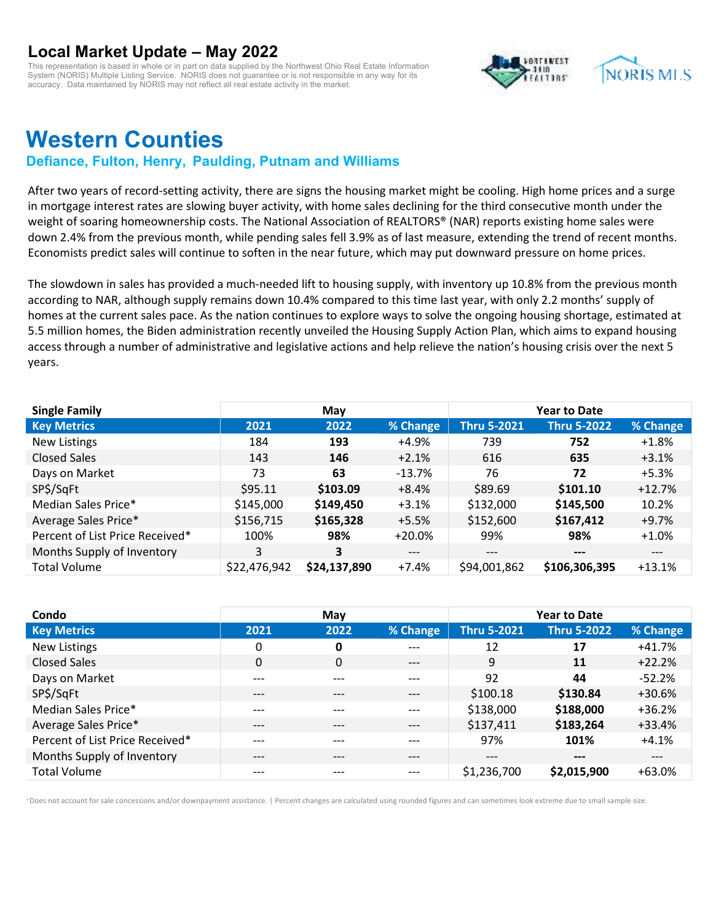This representation is based in whole or in part on data supplied by the Northwest Ohio Real Estate Information System (NORIS) Multiple Listing Service. NORIS does not guarantee or is not responsible in any way for its accuracy. Data maintained by NORIS may not reflect all real estate activity in the market.



# **Western Counties**

### **Defiance, Fulton, Henry, Paulding, Putnam and Williams**

After two years of record-setting activity, there are signs the housing market might be cooling. High home prices and a surge in mortgage interest rates are slowing buyer activity, with home sales declining for the third consecutive month under the weight of soaring homeownership costs. The National Association of REALTORS® (NAR) reports existing home sales were down 2.4% from the previous month, while pending sales fell 3.9% as of last measure, extending the trend of recent months. Economists predict sales will continue to soften in the near future, which may put downward pressure on home prices.

The slowdown in sales has provided a much-needed lift to housing supply, with inventory up 10.8% from the previous month according to NAR, although supply remains down 10.4% compared to this time last year, with only 2.2 months' supply of homes at the current sales pace. As the nation continues to explore ways to solve the ongoing housing shortage, estimated at 5.5 million homes, the Biden administration recently unveiled the Housing Supply Action Plan, which aims to expand housing access through a number of administrative and legislative actions and help relieve the nation's housing crisis over the next 5 years.

| <b>Single Family</b>            |              | May                     |          |                    | <b>Year to Date</b> |          |
|---------------------------------|--------------|-------------------------|----------|--------------------|---------------------|----------|
| <b>Key Metrics</b>              | 2021         | 2022                    | % Change | <b>Thru 5-2021</b> | <b>Thru 5-2022</b>  | % Change |
| <b>New Listings</b>             | 184          | 193                     | +4.9%    | 739                | 752                 | $+1.8%$  |
| <b>Closed Sales</b>             | 143          | 146                     | $+2.1%$  | 616                | 635                 | $+3.1%$  |
| Days on Market                  | 73           | 63                      | $-13.7%$ | 76                 | 72                  | $+5.3%$  |
| SP\$/SqFt                       | \$95.11      | \$103.09                | $+8.4%$  | \$89.69            | \$101.10            | $+12.7%$ |
| Median Sales Price*             | \$145,000    | \$149,450               | $+3.1%$  | \$132,000          | \$145,500           | 10.2%    |
| Average Sales Price*            | \$156,715    | \$165,328               | $+5.5%$  | \$152,600          | \$167,412           | $+9.7%$  |
| Percent of List Price Received* | 100%         | 98%                     | $+20.0%$ | 99%                | 98%                 | $+1.0%$  |
| Months Supply of Inventory      | 3            | $\overline{\mathbf{3}}$ | $---$    | $---$              | $---$               | $---$    |
| <b>Total Volume</b>             | \$22,476,942 | \$24,137,890            | $+7.4%$  | \$94,001,862       | \$106,306,395       | $+13.1%$ |

| Condo                           |       | May          |          |                    | <b>Year to Date</b> |          |
|---------------------------------|-------|--------------|----------|--------------------|---------------------|----------|
| <b>Key Metrics</b>              | 2021  | 2022         | % Change | <b>Thru 5-2021</b> | <b>Thru 5-2022</b>  | % Change |
| New Listings                    | 0     | 0            | ---      | 12                 | 17                  | $+41.7%$ |
| <b>Closed Sales</b>             | 0     | $\mathbf{0}$ | $---$    | 9                  | 11                  | $+22.2%$ |
| Days on Market                  | ---   | ---          | ---      | 92                 | 44                  | $-52.2%$ |
| SP\$/SqFt                       | $---$ | $---$        | $---$    | \$100.18           | \$130.84            | $+30.6%$ |
| Median Sales Price*             | $---$ | ---          | ---      | \$138,000          | \$188,000           | $+36.2%$ |
| Average Sales Price*            | ---   | ---          | ---      | \$137,411          | \$183,264           | $+33.4%$ |
| Percent of List Price Received* | ---   | ---          | ---      | 97%                | 101%                | $+4.1%$  |
| Months Supply of Inventory      | $---$ | ---          | ---      | $---$              | $---$               | $---$    |
| <b>Total Volume</b>             | ---   | ---          | ---      | \$1,236,700        | \$2,015,900         | $+63.0%$ |

\*Does not account for sale concessions and/or downpayment assistance. | Percent changes are calculated using rounded figures and can sometimes look extreme due to small sample size.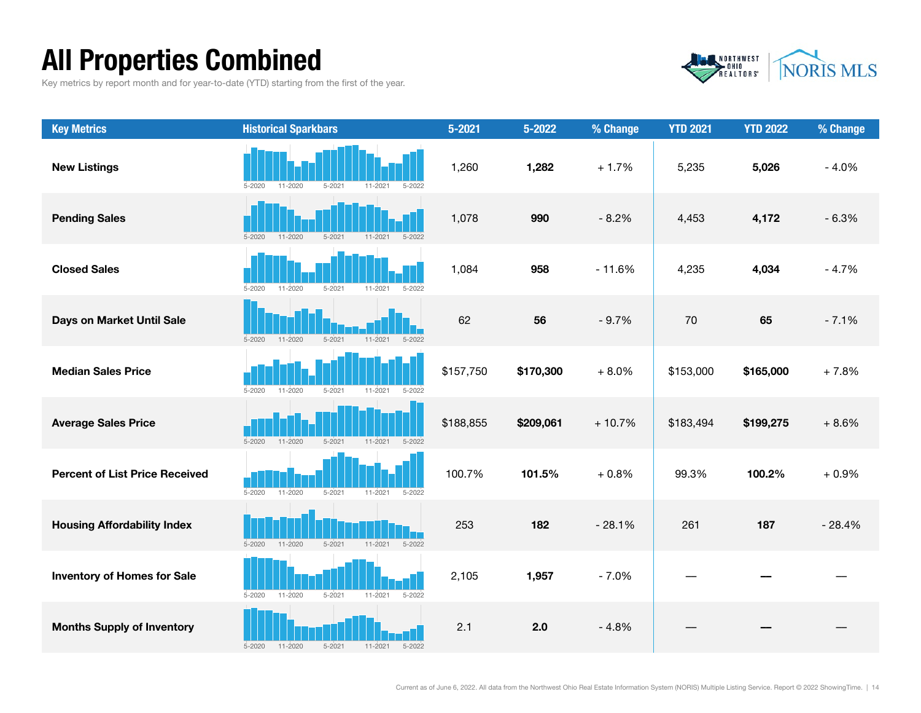# All Properties Combined

Key metrics by report month and for year-to-date (YTD) starting from the first of the year.



| <b>Key Metrics</b>                    | <b>Historical Sparkbars</b>                                          | $5 - 2021$ | 5-2022    | % Change | <b>YTD 2021</b> | <b>YTD 2022</b> | % Change |
|---------------------------------------|----------------------------------------------------------------------|------------|-----------|----------|-----------------|-----------------|----------|
| <b>New Listings</b>                   | $5 - 2020$<br>11-2020<br>$5 - 2021$<br>$11 - 2021$<br>$5 - 2022$     | 1,260      | 1,282     | $+1.7%$  | 5,235           | 5,026           | $-4.0%$  |
| <b>Pending Sales</b>                  | $5 - 2020$<br>$11 - 2020$<br>$5 - 2021$<br>$11 - 2021$<br>$5 - 2022$ | 1,078      | 990       | $-8.2%$  | 4,453           | 4,172           | $-6.3%$  |
| <b>Closed Sales</b>                   | $11 - 2020$<br>$5 - 2021$<br>$5 - 2020$<br>$11 - 2021$<br>$5 - 2022$ | 1,084      | 958       | $-11.6%$ | 4,235           | 4,034           | $-4.7%$  |
| Days on Market Until Sale             | $11 - 2020$<br>$5 - 2021$<br>$11 - 2021$<br>$5 - 2022$<br>$5 - 2020$ | 62         | 56        | $-9.7%$  | 70              | 65              | $-7.1%$  |
| <b>Median Sales Price</b>             | $5 - 2020$<br>11-2020<br>$5 - 2021$<br>$11 - 2021$<br>$5 - 2022$     | \$157,750  | \$170,300 | $+8.0%$  | \$153,000       | \$165,000       | $+7.8%$  |
| <b>Average Sales Price</b>            | $11 - 2020$<br>$5 - 2021$<br>$11 - 2021$<br>$5 - 2020$<br>$5 - 2022$ | \$188,855  | \$209,061 | $+10.7%$ | \$183,494       | \$199,275       | $+8.6%$  |
| <b>Percent of List Price Received</b> | $5 - 2020$<br>$11 - 2020$<br>$5 - 2021$<br>$11 - 2021$<br>$5 - 2022$ | 100.7%     | 101.5%    | $+0.8%$  | 99.3%           | 100.2%          | $+0.9%$  |
| <b>Housing Affordability Index</b>    | $5 - 2020$<br>$11 - 2020$<br>$5 - 2021$<br>$11 - 2021$<br>$5 - 2022$ | 253        | 182       | $-28.1%$ | 261             | 187             | $-28.4%$ |
| <b>Inventory of Homes for Sale</b>    | 11-2020<br>$5 - 2021$<br>$11 - 2021$<br>$5 - 2020$<br>$5 - 2022$     | 2,105      | 1,957     | $-7.0%$  |                 |                 |          |
| <b>Months Supply of Inventory</b>     | $5 - 2021$<br>$5 - 2020$<br>$11 - 2020$<br>$11 - 2021$<br>$5 - 2022$ | 2.1        | 2.0       | $-4.8%$  |                 |                 |          |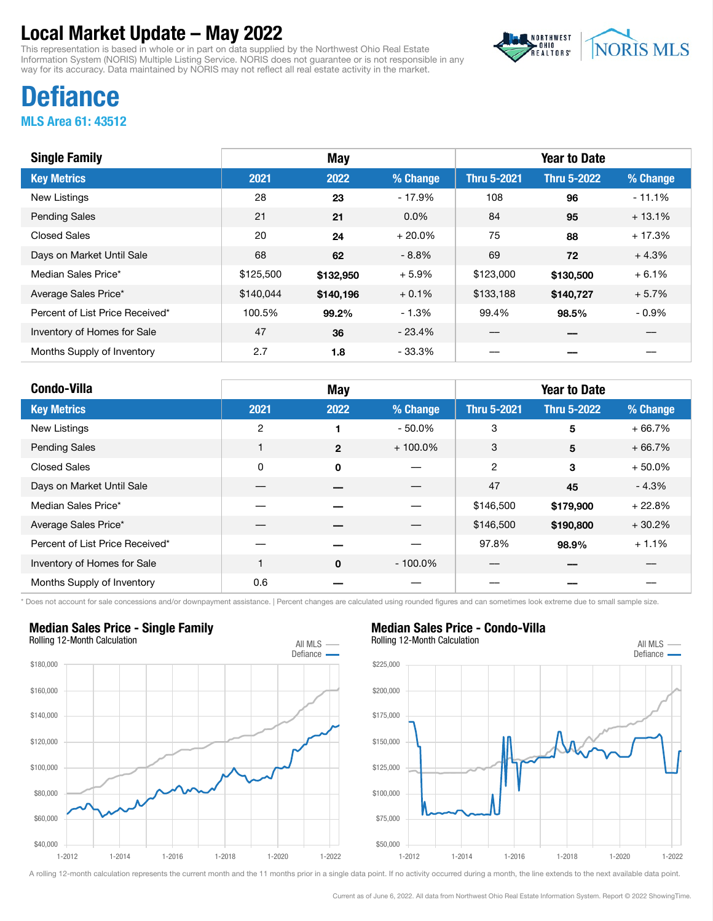This representation is based in whole or in part on data supplied by the Northwest Ohio Real Estate Information System (NORIS) Multiple Listing Service. NORIS does not guarantee or is not responsible in any way for its accuracy. Data maintained by NORIS may not reflect all real estate activity in the market.



# **Defiance**

MLS Area 61: 43512

| <b>Single Family</b>            |           | <b>May</b> |          |                    | <b>Year to Date</b> |          |
|---------------------------------|-----------|------------|----------|--------------------|---------------------|----------|
| <b>Key Metrics</b>              | 2021      | 2022       | % Change | <b>Thru 5-2021</b> | <b>Thru 5-2022</b>  | % Change |
| New Listings                    | 28        | 23         | $-17.9%$ | 108                | 96                  | $-11.1%$ |
| <b>Pending Sales</b>            | 21        | 21         | $0.0\%$  | 84                 | 95                  | $+13.1%$ |
| <b>Closed Sales</b>             | 20        | 24         | $+20.0%$ | 75                 | 88                  | $+17.3%$ |
| Days on Market Until Sale       | 68        | 62         | $-8.8\%$ | 69                 | 72                  | $+4.3%$  |
| Median Sales Price*             | \$125,500 | \$132,950  | $+5.9%$  | \$123,000          | \$130,500           | $+6.1%$  |
| Average Sales Price*            | \$140,044 | \$140,196  | $+0.1%$  | \$133,188          | \$140,727           | $+5.7%$  |
| Percent of List Price Received* | 100.5%    | 99.2%      | $-1.3%$  | 99.4%              | 98.5%               | $-0.9%$  |
| Inventory of Homes for Sale     | 47        | 36         | $-23.4%$ |                    |                     |          |
| Months Supply of Inventory      | 2.7       | 1.8        | - 33.3%  |                    |                     |          |

| <b>Condo-Villa</b>              |              | <b>May</b>   |            |                    | <b>Year to Date</b> |          |
|---------------------------------|--------------|--------------|------------|--------------------|---------------------|----------|
| <b>Key Metrics</b>              | 2021         | 2022         | % Change   | <b>Thru 5-2021</b> | <b>Thru 5-2022</b>  | % Change |
| New Listings                    | $\mathbf{2}$ |              | $-50.0\%$  | 3                  | 5                   | $+66.7%$ |
| <b>Pending Sales</b>            |              | $\mathbf{2}$ | $+100.0\%$ | 3                  | 5                   | $+66.7%$ |
| <b>Closed Sales</b>             | 0            | $\mathbf 0$  |            | 2                  | 3                   | $+50.0%$ |
| Days on Market Until Sale       |              |              |            | 47                 | 45                  | $-4.3%$  |
| Median Sales Price*             |              |              |            | \$146,500          | \$179,900           | $+22.8%$ |
| Average Sales Price*            |              |              |            | \$146,500          | \$190,800           | $+30.2%$ |
| Percent of List Price Received* |              |              |            | 97.8%              | 98.9%               | $+1.1%$  |
| Inventory of Homes for Sale     |              | $\mathbf 0$  | $-100.0\%$ |                    |                     |          |
| Months Supply of Inventory      | 0.6          |              |            |                    |                     |          |

\* Does not account for sale concessions and/or downpayment assistance. | Percent changes are calculated using rounded figures and can sometimes look extreme due to small sample size.

### Median Sales Price - Single Family



## Median Sales Price - Condo-Villa

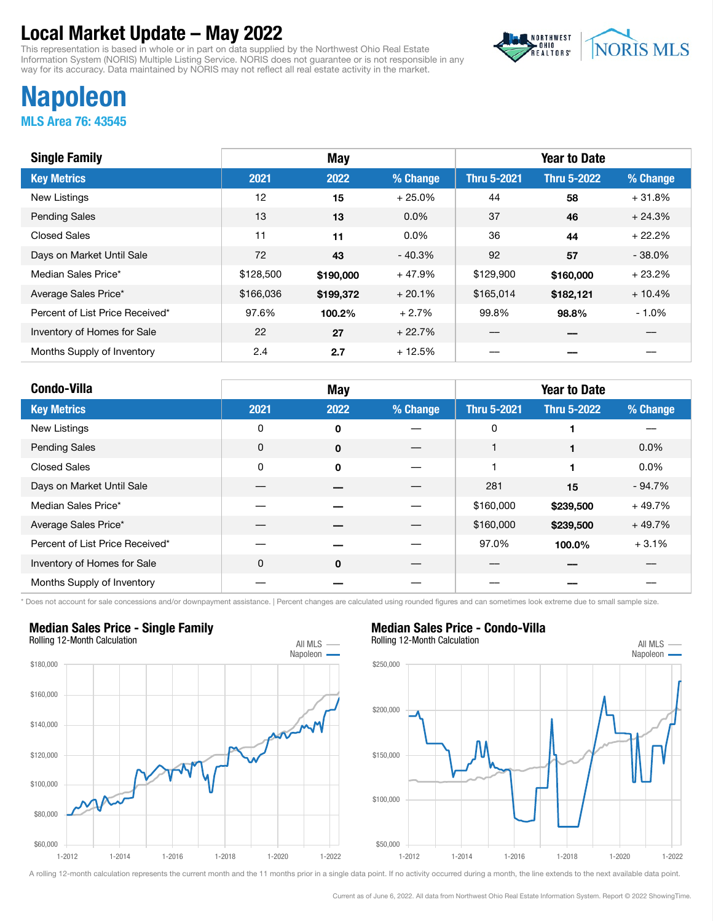This representation is based in whole or in part on data supplied by the Northwest Ohio Real Estate Information System (NORIS) Multiple Listing Service. NORIS does not guarantee or is not responsible in any way for its accuracy. Data maintained by NORIS may not reflect all real estate activity in the market.



# Napoleon

MLS Area 76: 43545

| <b>Single Family</b>            |           | <b>May</b> |          |                    | <b>Year to Date</b> |          |
|---------------------------------|-----------|------------|----------|--------------------|---------------------|----------|
| <b>Key Metrics</b>              | 2021      | 2022       | % Change | <b>Thru 5-2021</b> | <b>Thru 5-2022</b>  | % Change |
| <b>New Listings</b>             | 12        | 15         | $+25.0%$ | 44                 | 58                  | $+31.8%$ |
| <b>Pending Sales</b>            | 13        | 13         | $0.0\%$  | 37                 | 46                  | $+24.3%$ |
| <b>Closed Sales</b>             | 11        | 11         | $0.0\%$  | 36                 | 44                  | $+22.2%$ |
| Days on Market Until Sale       | 72        | 43         | $-40.3%$ | 92                 | 57                  | $-38.0%$ |
| Median Sales Price*             | \$128,500 | \$190,000  | $+47.9%$ | \$129,900          | \$160,000           | $+23.2%$ |
| Average Sales Price*            | \$166,036 | \$199,372  | $+20.1%$ | \$165,014          | \$182,121           | $+10.4%$ |
| Percent of List Price Received* | 97.6%     | 100.2%     | $+2.7%$  | 99.8%              | 98.8%               | $-1.0%$  |
| Inventory of Homes for Sale     | 22        | 27         | $+22.7%$ |                    |                     |          |
| Months Supply of Inventory      | 2.4       | 2.7        | $+12.5%$ |                    |                     |          |

| <b>Condo-Villa</b>              | <b>May</b> |      |          | <b>Year to Date</b> |                    |           |
|---------------------------------|------------|------|----------|---------------------|--------------------|-----------|
| <b>Key Metrics</b>              | 2021       | 2022 | % Change | <b>Thru 5-2021</b>  | <b>Thru 5-2022</b> | % Change  |
| New Listings                    | 0          | 0    |          | 0                   | 1                  |           |
| <b>Pending Sales</b>            | 0          | 0    |          | 1                   | 1                  | $0.0\%$   |
| <b>Closed Sales</b>             | 0          | 0    |          |                     | 1                  | $0.0\%$   |
| Days on Market Until Sale       |            |      |          | 281                 | 15                 | $-94.7\%$ |
| Median Sales Price*             |            |      |          | \$160,000           | \$239,500          | $+49.7%$  |
| Average Sales Price*            |            |      |          | \$160,000           | \$239,500          | $+49.7%$  |
| Percent of List Price Received* |            |      |          | 97.0%               | 100.0%             | $+3.1%$   |
| Inventory of Homes for Sale     | 0          | 0    |          |                     |                    |           |
| Months Supply of Inventory      |            |      |          |                     |                    |           |

\* Does not account for sale concessions and/or downpayment assistance. | Percent changes are calculated using rounded figures and can sometimes look extreme due to small sample size.



### Median Sales Price - Condo-Villa

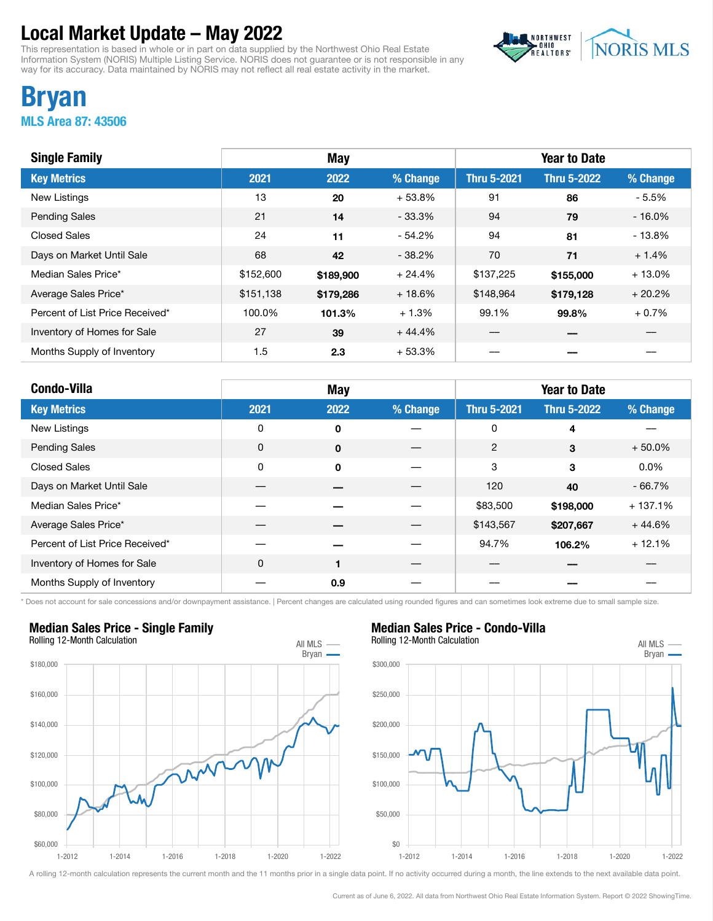This representation is based in whole or in part on data supplied by the Northwest Ohio Real Estate Information System (NORIS) Multiple Listing Service. NORIS does not guarantee or is not responsible in any way for its accuracy. Data maintained by NORIS may not reflect all real estate activity in the market.



## Bryan MLS Area 87: 43506

| <b>Single Family</b>            |           | <b>May</b> |          |                    | <b>Year to Date</b> |           |
|---------------------------------|-----------|------------|----------|--------------------|---------------------|-----------|
| <b>Key Metrics</b>              | 2021      | 2022       | % Change | <b>Thru 5-2021</b> | <b>Thru 5-2022</b>  | % Change  |
| New Listings                    | 13        | 20         | $+53.8%$ | 91                 | 86                  | $-5.5%$   |
| <b>Pending Sales</b>            | 21        | 14         | $-33.3%$ | 94                 | 79                  | $-16.0\%$ |
| <b>Closed Sales</b>             | 24        | 11         | $-54.2%$ | 94                 | 81                  | $-13.8%$  |
| Days on Market Until Sale       | 68        | 42         | $-38.2%$ | 70                 | 71                  | $+1.4%$   |
| Median Sales Price*             | \$152,600 | \$189,900  | $+24.4%$ | \$137,225          | \$155,000           | $+13.0%$  |
| Average Sales Price*            | \$151,138 | \$179,286  | $+18.6%$ | \$148,964          | \$179,128           | $+20.2%$  |
| Percent of List Price Received* | 100.0%    | 101.3%     | $+1.3%$  | 99.1%              | 99.8%               | $+0.7\%$  |
| Inventory of Homes for Sale     | 27        | 39         | $+44.4%$ |                    |                     |           |
| Months Supply of Inventory      | 1.5       | 2.3        | $+53.3%$ |                    |                     |           |

| <b>Condo-Villa</b>              |             | <b>May</b>     |          |                    | <b>Year to Date</b> |           |
|---------------------------------|-------------|----------------|----------|--------------------|---------------------|-----------|
| <b>Key Metrics</b>              | 2021        | 2022           | % Change | <b>Thru 5-2021</b> | <b>Thru 5-2022</b>  | % Change  |
| New Listings                    | 0           | 0              |          | 0                  | 4                   |           |
| <b>Pending Sales</b>            | 0           | $\mathbf 0$    |          | $\overline{2}$     | 3                   | $+50.0%$  |
| <b>Closed Sales</b>             | 0           | 0              |          | 3                  | 3                   | $0.0\%$   |
| Days on Market Until Sale       |             |                |          | 120                | 40                  | $-66.7\%$ |
| Median Sales Price*             |             |                |          | \$83,500           | \$198,000           | $+137.1%$ |
| Average Sales Price*            |             |                |          | \$143,567          | \$207,667           | $+44.6%$  |
| Percent of List Price Received* |             |                |          | 94.7%              | 106.2%              | $+12.1%$  |
| Inventory of Homes for Sale     | $\mathbf 0$ | $\blacksquare$ |          |                    |                     |           |
| Months Supply of Inventory      |             | 0.9            |          |                    |                     |           |

\* Does not account for sale concessions and/or downpayment assistance. | Percent changes are calculated using rounded figures and can sometimes look extreme due to small sample size.



### Median Sales Price - Single Family



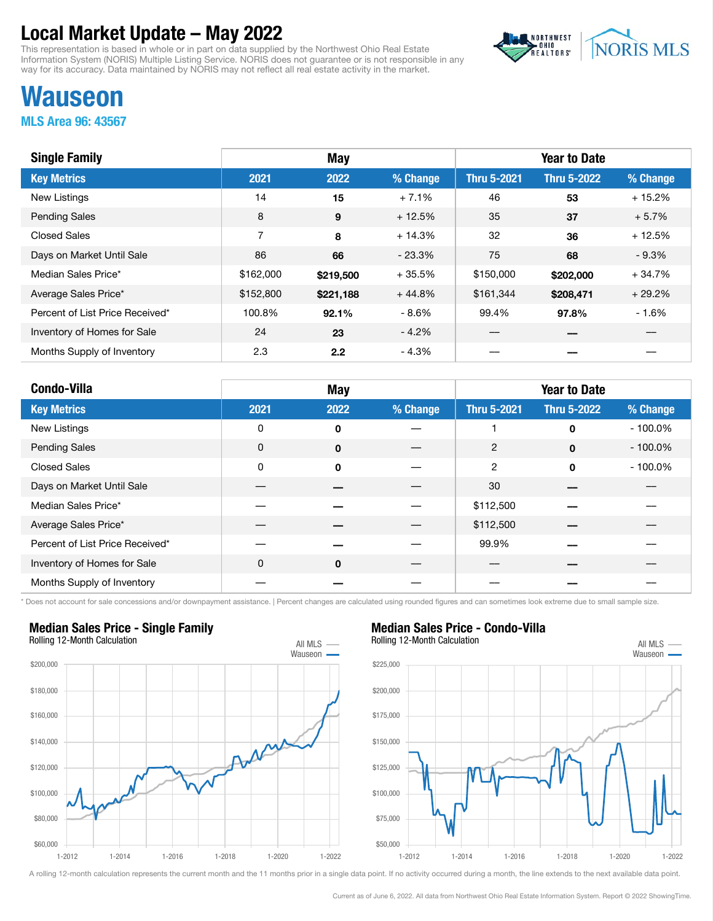This representation is based in whole or in part on data supplied by the Northwest Ohio Real Estate Information System (NORIS) Multiple Listing Service. NORIS does not guarantee or is not responsible in any way for its accuracy. Data maintained by NORIS may not reflect all real estate activity in the market.



# Wauseon

MLS Area 96: 43567

| <b>Single Family</b>            |           | May       |          |                    | <b>Year to Date</b> |          |
|---------------------------------|-----------|-----------|----------|--------------------|---------------------|----------|
| <b>Key Metrics</b>              | 2021      | 2022      | % Change | <b>Thru 5-2021</b> | <b>Thru 5-2022</b>  | % Change |
| <b>New Listings</b>             | 14        | 15        | $+7.1%$  | 46                 | 53                  | $+15.2%$ |
| <b>Pending Sales</b>            | 8         | 9         | $+12.5%$ | 35                 | 37                  | $+5.7%$  |
| <b>Closed Sales</b>             | 7         | 8         | $+14.3%$ | 32                 | 36                  | $+12.5%$ |
| Days on Market Until Sale       | 86        | 66        | $-23.3%$ | 75                 | 68                  | $-9.3%$  |
| Median Sales Price*             | \$162,000 | \$219,500 | $+35.5%$ | \$150,000          | \$202,000           | $+34.7%$ |
| Average Sales Price*            | \$152,800 | \$221,188 | $+44.8%$ | \$161,344          | \$208,471           | $+29.2%$ |
| Percent of List Price Received* | 100.8%    | 92.1%     | - 8.6%   | 99.4%              | 97.8%               | $-1.6%$  |
| Inventory of Homes for Sale     | 24        | 23        | $-4.2%$  |                    |                     |          |
| Months Supply of Inventory      | 2.3       | 2.2       | - 4.3%   |                    |                     |          |

| <b>Condo-Villa</b>              |      | May  |          |                    | <b>Year to Date</b> |            |
|---------------------------------|------|------|----------|--------------------|---------------------|------------|
| <b>Key Metrics</b>              | 2021 | 2022 | % Change | <b>Thru 5-2021</b> | <b>Thru 5-2022</b>  | % Change   |
| New Listings                    | 0    | 0    |          |                    | $\mathbf 0$         | $-100.0\%$ |
| <b>Pending Sales</b>            | 0    | 0    |          | 2                  | $\mathbf 0$         | $-100.0\%$ |
| <b>Closed Sales</b>             | 0    | 0    |          | 2                  | $\Omega$            | $-100.0\%$ |
| Days on Market Until Sale       |      |      |          | 30                 |                     |            |
| Median Sales Price*             |      |      |          | \$112,500          |                     |            |
| Average Sales Price*            |      |      |          | \$112,500          |                     |            |
| Percent of List Price Received* |      |      |          | 99.9%              |                     |            |
| Inventory of Homes for Sale     | 0    | 0    |          |                    |                     |            |
| Months Supply of Inventory      |      |      |          |                    |                     |            |

\* Does not account for sale concessions and/or downpayment assistance. | Percent changes are calculated using rounded figures and can sometimes look extreme due to small sample size.

### Median Sales Price - Single Family



## Median Sales Price - Condo-Villa



A rolling 12-month calculation represents the current month and the 11 months prior in a single data point. If no activity occurred during a month, the line extends to the next available data point.

Current as of June 6, 2022. All data from Northwest Ohio Real Estate Information System. Report © 2022 ShowingTime.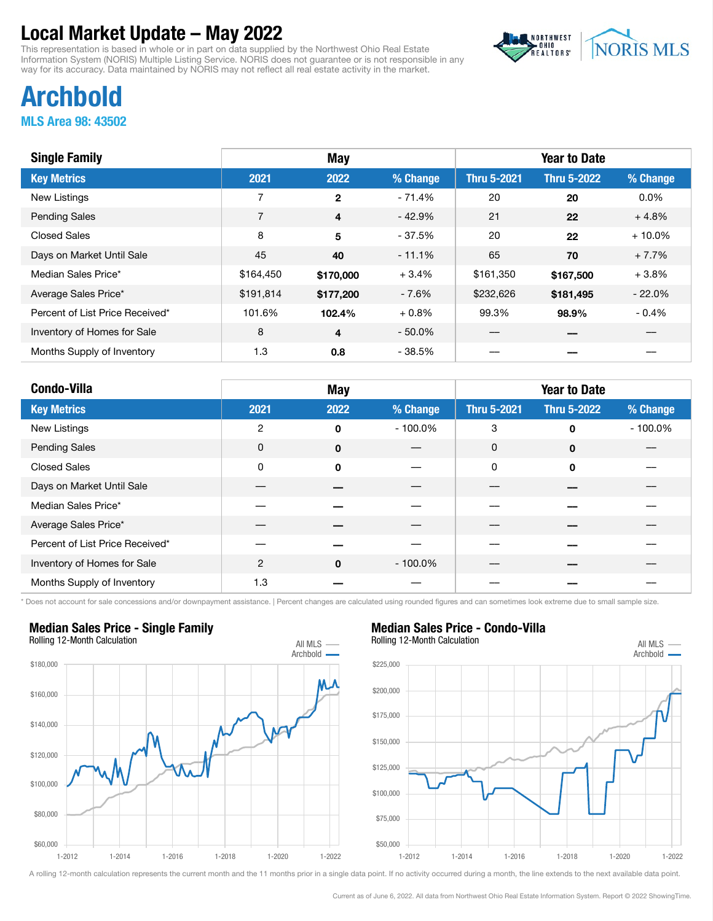This representation is based in whole or in part on data supplied by the Northwest Ohio Real Estate Information System (NORIS) Multiple Listing Service. NORIS does not guarantee or is not responsible in any way for its accuracy. Data maintained by NORIS may not reflect all real estate activity in the market.



# Archbold

MLS Area 98: 43502

| <b>Single Family</b>            |                | <b>May</b>   |           |                    | <b>Year to Date</b> |           |
|---------------------------------|----------------|--------------|-----------|--------------------|---------------------|-----------|
| <b>Key Metrics</b>              | 2021           | 2022         | % Change  | <b>Thru 5-2021</b> | <b>Thru 5-2022</b>  | % Change  |
| New Listings                    | 7              | $\mathbf{2}$ | $-71.4%$  | 20                 | 20                  | $0.0\%$   |
| <b>Pending Sales</b>            | $\overline{7}$ | 4            | $-42.9%$  | 21                 | 22                  | $+4.8%$   |
| <b>Closed Sales</b>             | 8              | 5            | $-37.5%$  | 20                 | 22                  | $+10.0\%$ |
| Days on Market Until Sale       | 45             | 40           | $-11.1%$  | 65                 | 70                  | $+7.7%$   |
| Median Sales Price*             | \$164,450      | \$170,000    | $+3.4%$   | \$161,350          | \$167,500           | $+3.8%$   |
| Average Sales Price*            | \$191,814      | \$177,200    | - 7.6%    | \$232,626          | \$181,495           | $-22.0%$  |
| Percent of List Price Received* | 101.6%         | 102.4%       | $+0.8%$   | 99.3%              | 98.9%               | $-0.4%$   |
| Inventory of Homes for Sale     | 8              | 4            | $-50.0\%$ |                    |                     |           |
| Months Supply of Inventory      | 1.3            | 0.8          | $-38.5%$  |                    |                     |           |

| <b>Condo-Villa</b>              |      | <b>May</b>  |            |                    | <b>Year to Date</b> |            |
|---------------------------------|------|-------------|------------|--------------------|---------------------|------------|
| <b>Key Metrics</b>              | 2021 | 2022        | % Change   | <b>Thru 5-2021</b> | <b>Thru 5-2022</b>  | % Change   |
| New Listings                    | 2    | 0           | $-100.0\%$ | 3                  | $\mathbf 0$         | $-100.0\%$ |
| <b>Pending Sales</b>            | 0    | $\mathbf 0$ |            | 0                  | $\mathbf 0$         |            |
| <b>Closed Sales</b>             | 0    | $\mathbf 0$ |            | 0                  | $\mathbf 0$         |            |
| Days on Market Until Sale       |      |             |            |                    |                     |            |
| Median Sales Price*             |      |             |            |                    |                     |            |
| Average Sales Price*            |      |             |            |                    |                     |            |
| Percent of List Price Received* |      |             |            |                    |                     |            |
| Inventory of Homes for Sale     | 2    | 0           | $-100.0\%$ |                    |                     |            |
| Months Supply of Inventory      | 1.3  |             |            |                    |                     |            |

\* Does not account for sale concessions and/or downpayment assistance. | Percent changes are calculated using rounded figures and can sometimes look extreme due to small sample size.



### Median Sales Price - Single Family



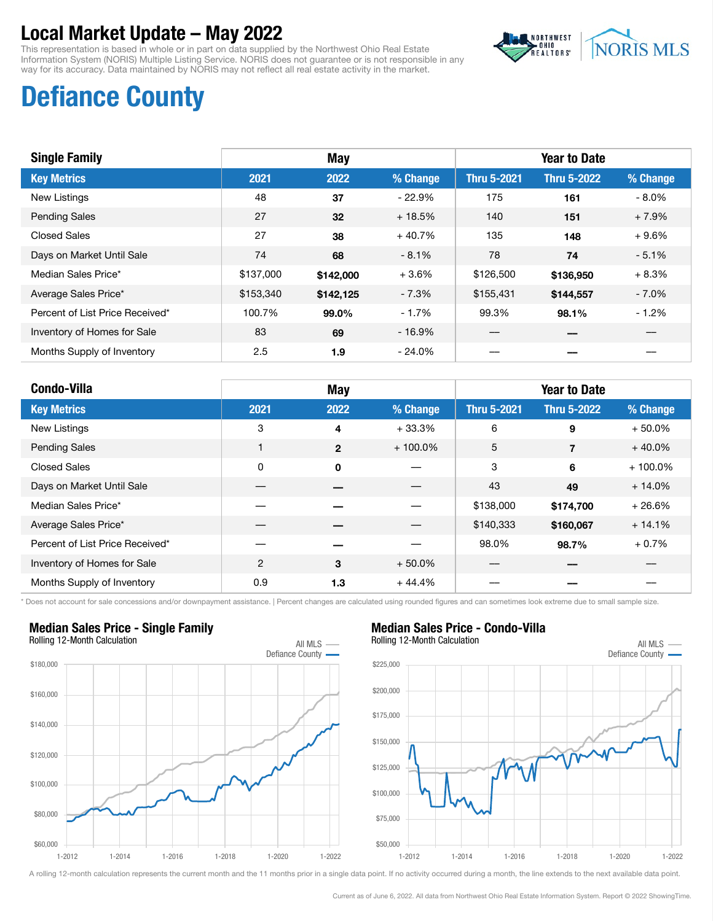This representation is based in whole or in part on data supplied by the Northwest Ohio Real Estate Information System (NORIS) Multiple Listing Service. NORIS does not guarantee or is not responsible in any way for its accuracy. Data maintained by NORIS may not reflect all real estate activity in the market.



# Defiance County

| <b>Single Family</b>            |           | <b>May</b>      |          |                    | <b>Year to Date</b> |          |
|---------------------------------|-----------|-----------------|----------|--------------------|---------------------|----------|
| <b>Key Metrics</b>              | 2021      | 2022            | % Change | <b>Thru 5-2021</b> | <b>Thru 5-2022</b>  | % Change |
| <b>New Listings</b>             | 48        | 37              | $-22.9%$ | 175                | 161                 | $-8.0\%$ |
| <b>Pending Sales</b>            | 27        | 32 <sub>2</sub> | $+18.5%$ | 140                | 151                 | $+7.9%$  |
| Closed Sales                    | 27        | 38              | $+40.7%$ | 135                | 148                 | $+9.6%$  |
| Days on Market Until Sale       | 74        | 68              | $-8.1%$  | 78                 | 74                  | $-5.1%$  |
| Median Sales Price*             | \$137,000 | \$142,000       | $+3.6%$  | \$126,500          | \$136,950           | $+8.3%$  |
| Average Sales Price*            | \$153,340 | \$142,125       | $-7.3%$  | \$155,431          | \$144.557           | $-7.0\%$ |
| Percent of List Price Received* | 100.7%    | 99.0%           | $-1.7%$  | 99.3%              | 98.1%               | $-1.2%$  |
| Inventory of Homes for Sale     | 83        | 69              | $-16.9%$ |                    |                     |          |
| Months Supply of Inventory      | 2.5       | 1.9             | $-24.0%$ |                    |                     |          |

| <b>Condo-Villa</b>              |      | <b>May</b>   |            |                    | <b>Year to Date</b> |            |
|---------------------------------|------|--------------|------------|--------------------|---------------------|------------|
| <b>Key Metrics</b>              | 2021 | 2022         | % Change   | <b>Thru 5-2021</b> | <b>Thru 5-2022</b>  | % Change   |
| New Listings                    | 3    | 4            | $+33.3%$   | 6                  | 9                   | $+50.0%$   |
| <b>Pending Sales</b>            |      | $\mathbf{2}$ | $+100.0\%$ | 5                  | 7                   | $+40.0%$   |
| <b>Closed Sales</b>             | 0    | $\mathbf 0$  |            | 3                  | 6                   | $+100.0\%$ |
| Days on Market Until Sale       |      |              |            | 43                 | 49                  | $+14.0%$   |
| Median Sales Price*             |      |              |            | \$138,000          | \$174,700           | $+26.6%$   |
| Average Sales Price*            |      |              |            | \$140,333          | \$160,067           | $+14.1%$   |
| Percent of List Price Received* |      |              |            | 98.0%              | 98.7%               | $+0.7%$    |
| Inventory of Homes for Sale     | 2    | 3            | $+50.0%$   |                    |                     |            |
| Months Supply of Inventory      | 0.9  | 1.3          | $+44.4%$   |                    |                     |            |

\* Does not account for sale concessions and/or downpayment assistance. | Percent changes are calculated using rounded figures and can sometimes look extreme due to small sample size.

#### Median Sales Price - Single Family Rolling 12-Month Calculation All MLS -



## Median Sales Price - Condo-Villa

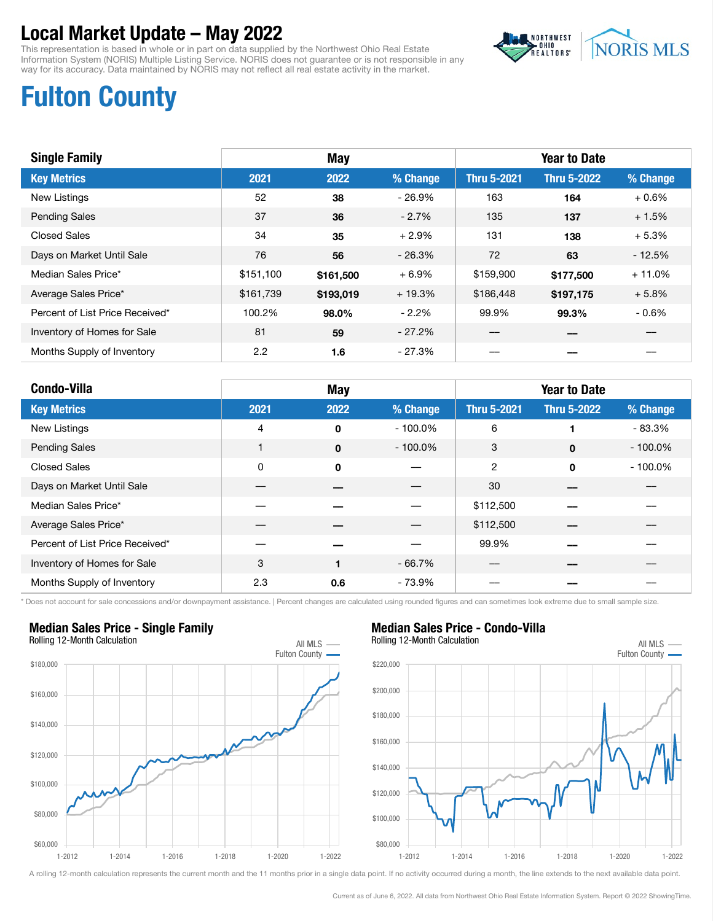This representation is based in whole or in part on data supplied by the Northwest Ohio Real Estate Information System (NORIS) Multiple Listing Service. NORIS does not guarantee or is not responsible in any way for its accuracy. Data maintained by NORIS may not reflect all real estate activity in the market.



# Fulton County

| <b>Single Family</b>            |               | May       |          |                    | <b>Year to Date</b> |          |
|---------------------------------|---------------|-----------|----------|--------------------|---------------------|----------|
| <b>Key Metrics</b>              | 2021          | 2022      | % Change | <b>Thru 5-2021</b> | <b>Thru 5-2022</b>  | % Change |
| <b>New Listings</b>             | 52            | 38        | $-26.9%$ | 163                | 164                 | $+0.6%$  |
| <b>Pending Sales</b>            | 37            | 36        | $-2.7%$  | 135                | 137                 | $+1.5%$  |
| <b>Closed Sales</b>             | 34            | 35        | $+2.9%$  | 131                | 138                 | $+5.3%$  |
| Days on Market Until Sale       | 76            | 56        | $-26.3%$ | 72                 | 63                  | $-12.5%$ |
| Median Sales Price*             | \$151,100     | \$161,500 | $+6.9%$  | \$159,900          | \$177,500           | $+11.0%$ |
| Average Sales Price*            | \$161,739     | \$193,019 | $+19.3%$ | \$186,448          | \$197,175           | $+5.8%$  |
| Percent of List Price Received* | 100.2%        | 98.0%     | $-2.2\%$ | 99.9%              | 99.3%               | $-0.6%$  |
| Inventory of Homes for Sale     | 81            | 59        | $-27.2%$ |                    |                     |          |
| Months Supply of Inventory      | $2.2^{\circ}$ | 1.6       | $-27.3%$ |                    |                     |          |

| <b>Condo-Villa</b>              | May  |             |            | <b>Year to Date</b> |                    |            |
|---------------------------------|------|-------------|------------|---------------------|--------------------|------------|
| <b>Key Metrics</b>              | 2021 | 2022        | % Change   | <b>Thru 5-2021</b>  | <b>Thru 5-2022</b> | % Change   |
| New Listings                    | 4    | 0           | $-100.0\%$ | 6                   |                    | $-83.3%$   |
| <b>Pending Sales</b>            |      | $\mathbf 0$ | $-100.0\%$ | 3                   | $\mathbf 0$        | $-100.0\%$ |
| <b>Closed Sales</b>             | 0    | 0           |            | 2                   | $\Omega$           | $-100.0\%$ |
| Days on Market Until Sale       |      |             |            | 30                  |                    |            |
| Median Sales Price*             |      |             |            | \$112,500           |                    |            |
| Average Sales Price*            |      |             |            | \$112,500           |                    |            |
| Percent of List Price Received* |      |             |            | 99.9%               |                    |            |
| Inventory of Homes for Sale     | 3    |             | $-66.7%$   |                     |                    |            |
| Months Supply of Inventory      | 2.3  | 0.6         | $-73.9%$   |                     |                    |            |

\* Does not account for sale concessions and/or downpayment assistance. | Percent changes are calculated using rounded figures and can sometimes look extreme due to small sample size.



## Median Sales Price - Condo-Villa

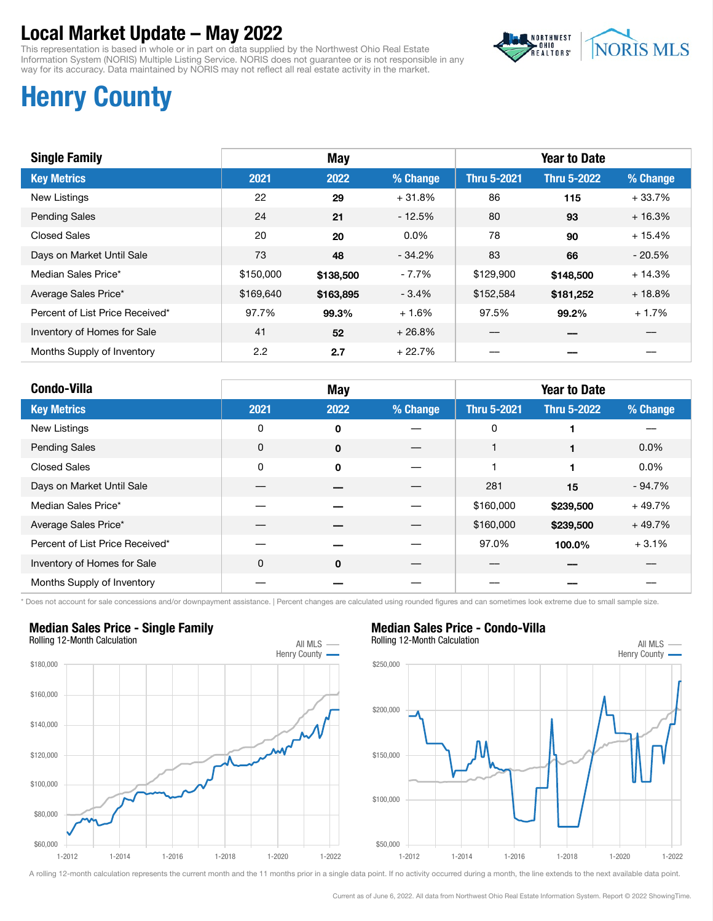This representation is based in whole or in part on data supplied by the Northwest Ohio Real Estate Information System (NORIS) Multiple Listing Service. NORIS does not guarantee or is not responsible in any way for its accuracy. Data maintained by NORIS may not reflect all real estate activity in the market.



# Henry County

| <b>Single Family</b>            |           | May       |          |                    | <b>Year to Date</b> |          |
|---------------------------------|-----------|-----------|----------|--------------------|---------------------|----------|
| <b>Key Metrics</b>              | 2021      | 2022      | % Change | <b>Thru 5-2021</b> | <b>Thru 5-2022</b>  | % Change |
| New Listings                    | 22        | 29        | $+31.8%$ | 86                 | 115                 | $+33.7%$ |
| <b>Pending Sales</b>            | 24        | 21        | $-12.5%$ | 80                 | 93                  | $+16.3%$ |
| Closed Sales                    | 20        | 20        | $0.0\%$  | 78                 | 90                  | $+15.4%$ |
| Days on Market Until Sale       | 73        | 48        | $-34.2%$ | 83                 | 66                  | $-20.5%$ |
| Median Sales Price*             | \$150,000 | \$138,500 | $-7.7\%$ | \$129,900          | \$148,500           | $+14.3%$ |
| Average Sales Price*            | \$169,640 | \$163,895 | $-3.4%$  | \$152,584          | \$181,252           | $+18.8%$ |
| Percent of List Price Received* | 97.7%     | 99.3%     | $+1.6%$  | 97.5%              | 99.2%               | $+1.7%$  |
| Inventory of Homes for Sale     | 41        | 52        | $+26.8%$ |                    |                     |          |
| Months Supply of Inventory      | 2.2       | 2.7       | + 22.7%  |                    |                     |          |

| <b>Condo-Villa</b>              |      | <b>May</b>  |          |                    | <b>Year to Date</b> |          |
|---------------------------------|------|-------------|----------|--------------------|---------------------|----------|
| <b>Key Metrics</b>              | 2021 | 2022        | % Change | <b>Thru 5-2021</b> | <b>Thru 5-2022</b>  | % Change |
| New Listings                    | 0    | $\mathbf 0$ |          | 0                  |                     |          |
| <b>Pending Sales</b>            | 0    | $\mathbf 0$ |          |                    |                     | $0.0\%$  |
| <b>Closed Sales</b>             | 0    | $\Omega$    |          |                    |                     | $0.0\%$  |
| Days on Market Until Sale       |      |             |          | 281                | 15                  | $-94.7%$ |
| Median Sales Price*             |      |             |          | \$160,000          | \$239,500           | $+49.7%$ |
| Average Sales Price*            |      |             |          | \$160,000          | \$239,500           | $+49.7%$ |
| Percent of List Price Received* |      |             |          | 97.0%              | 100.0%              | $+3.1%$  |
| Inventory of Homes for Sale     | 0    | $\mathbf 0$ |          |                    |                     |          |
| Months Supply of Inventory      |      |             |          |                    |                     |          |

\* Does not account for sale concessions and/or downpayment assistance. | Percent changes are calculated using rounded figures and can sometimes look extreme due to small sample size.



### Median Sales Price - Single Family



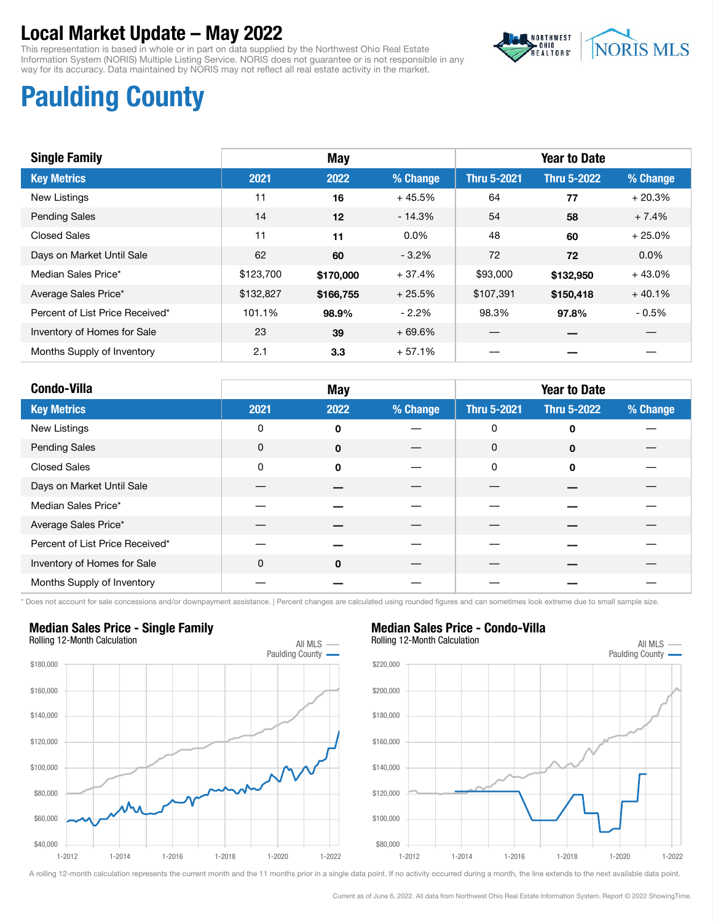This representation is based in whole or in part on data supplied by the Northwest Ohio Real Estate Information System (NORIS) Multiple Listing Service. NORIS does not guarantee or is not responsible in any way for its accuracy. Data maintained by NORIS may not reflect all real estate activity in the market.



# Paulding County

| <b>Single Family</b>            | <b>May</b> |                  |           | <b>Year to Date</b> |                    |          |
|---------------------------------|------------|------------------|-----------|---------------------|--------------------|----------|
| <b>Key Metrics</b>              | 2021       | 2022             | % Change  | <b>Thru 5-2021</b>  | <b>Thru 5-2022</b> | % Change |
| <b>New Listings</b>             | 11         | 16               | $+45.5%$  | 64                  | 77                 | $+20.3%$ |
| <b>Pending Sales</b>            | 14         | 12               | $-14.3%$  | 54                  | 58                 | $+7.4%$  |
| <b>Closed Sales</b>             | 11         | 11               | $0.0\%$   | 48                  | 60                 | $+25.0%$ |
| Days on Market Until Sale       | 62         | 60               | $-3.2\%$  | 72                  | 72                 | $0.0\%$  |
| Median Sales Price*             | \$123,700  | \$170,000        | $+37.4%$  | \$93,000            | \$132,950          | $+43.0%$ |
| Average Sales Price*            | \$132,827  | \$166,755        | $+25.5\%$ | \$107,391           | \$150,418          | $+40.1%$ |
| Percent of List Price Received* | 101.1%     | 98.9%            | $-2.2%$   | 98.3%               | 97.8%              | $-0.5%$  |
| Inventory of Homes for Sale     | 23         | 39               | $+69.6%$  |                     |                    |          |
| Months Supply of Inventory      | 2.1        | 3.3 <sub>2</sub> | $+57.1%$  |                     |                    |          |

| <b>Condo-Villa</b>              |      | <b>May</b>  |          |                    | <b>Year to Date</b> |          |
|---------------------------------|------|-------------|----------|--------------------|---------------------|----------|
| <b>Key Metrics</b>              | 2021 | 2022        | % Change | <b>Thru 5-2021</b> | <b>Thru 5-2022</b>  | % Change |
| New Listings                    | 0    | 0           |          | $\mathbf 0$        | $\mathbf 0$         |          |
| <b>Pending Sales</b>            | 0    | $\mathbf 0$ |          | $\mathbf 0$        | $\mathbf 0$         |          |
| <b>Closed Sales</b>             | 0    | $\mathbf 0$ |          | $\mathbf 0$        | $\mathbf 0$         |          |
| Days on Market Until Sale       |      |             |          |                    |                     |          |
| Median Sales Price*             |      |             |          |                    |                     |          |
| Average Sales Price*            |      |             |          |                    |                     |          |
| Percent of List Price Received* |      |             |          |                    |                     |          |
| Inventory of Homes for Sale     | 0    | $\mathbf 0$ |          |                    |                     |          |
| Months Supply of Inventory      |      |             |          |                    |                     |          |

\* Does not account for sale concessions and/or downpayment assistance. | Percent changes are calculated using rounded figures and can sometimes look extreme due to small sample size.

### Median Sales Price - Single Family



## Median Sales Price - Condo-Villa

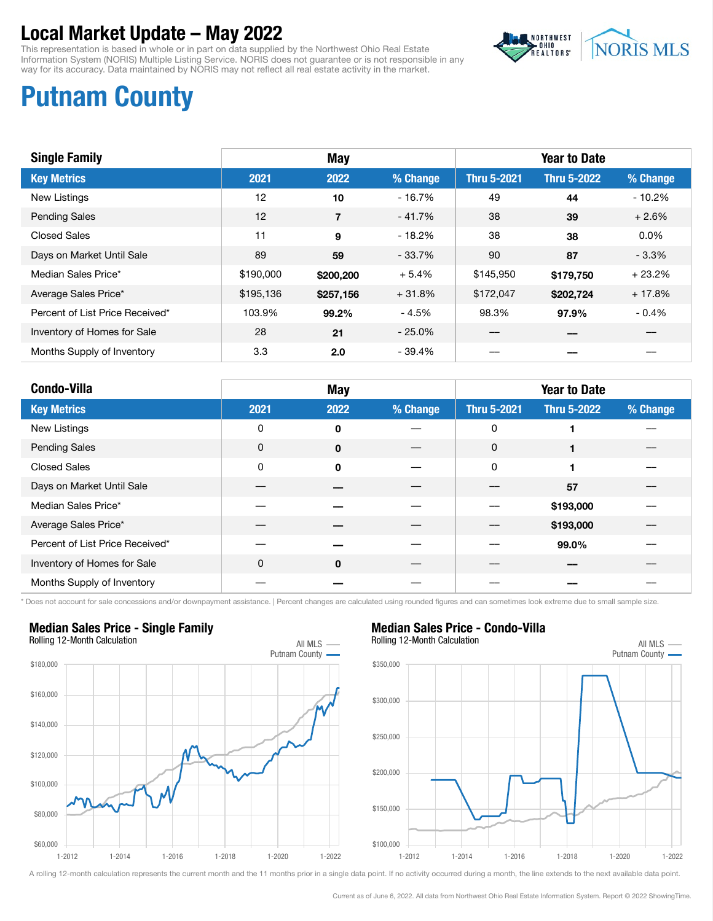This representation is based in whole or in part on data supplied by the Northwest Ohio Real Estate Information System (NORIS) Multiple Listing Service. NORIS does not guarantee or is not responsible in any way for its accuracy. Data maintained by NORIS may not reflect all real estate activity in the market.



# Putnam County

| <b>Single Family</b>            | May       |                |          | <b>Year to Date</b> |                    |          |
|---------------------------------|-----------|----------------|----------|---------------------|--------------------|----------|
| <b>Key Metrics</b>              | 2021      | 2022           | % Change | <b>Thru 5-2021</b>  | <b>Thru 5-2022</b> | % Change |
| <b>New Listings</b>             | 12        | 10             | $-16.7%$ | 49                  | 44                 | $-10.2%$ |
| <b>Pending Sales</b>            | 12        | $\overline{7}$ | $-41.7%$ | 38                  | 39                 | $+2.6%$  |
| <b>Closed Sales</b>             | 11        | 9              | $-18.2%$ | 38                  | 38                 | $0.0\%$  |
| Days on Market Until Sale       | 89        | 59             | - 33.7%  | 90                  | 87                 | $-3.3\%$ |
| Median Sales Price*             | \$190,000 | \$200,200      | $+5.4%$  | \$145,950           | \$179.750          | $+23.2%$ |
| Average Sales Price*            | \$195,136 | \$257,156      | + 31.8%  | \$172,047           | \$202,724          | $+17.8%$ |
| Percent of List Price Received* | 103.9%    | 99.2%          | - 4.5%   | 98.3%               | 97.9%              | $-0.4%$  |
| Inventory of Homes for Sale     | 28        | 21             | $-25.0%$ |                     |                    |          |
| Months Supply of Inventory      | 3.3       | 2.0            | $-39.4%$ |                     |                    |          |

| <b>Condo-Villa</b>              |             | May         |          |                    | <b>Year to Date</b> |          |
|---------------------------------|-------------|-------------|----------|--------------------|---------------------|----------|
| <b>Key Metrics</b>              | 2021        | 2022        | % Change | <b>Thru 5-2021</b> | <b>Thru 5-2022</b>  | % Change |
| New Listings                    | 0           | 0           |          | $\mathbf 0$        |                     |          |
| <b>Pending Sales</b>            | 0           | $\mathbf 0$ |          | 0                  |                     |          |
| <b>Closed Sales</b>             | 0           | $\mathbf 0$ |          | $\mathbf 0$        |                     |          |
| Days on Market Until Sale       |             |             |          |                    | 57                  |          |
| Median Sales Price*             |             |             |          |                    | \$193,000           |          |
| Average Sales Price*            |             |             |          |                    | \$193,000           |          |
| Percent of List Price Received* |             |             |          |                    | 99.0%               |          |
| Inventory of Homes for Sale     | $\mathbf 0$ | $\mathbf 0$ |          |                    |                     |          |
| Months Supply of Inventory      |             |             |          |                    |                     |          |

\* Does not account for sale concessions and/or downpayment assistance. | Percent changes are calculated using rounded figures and can sometimes look extreme due to small sample size.



### Median Sales Price - Single Family